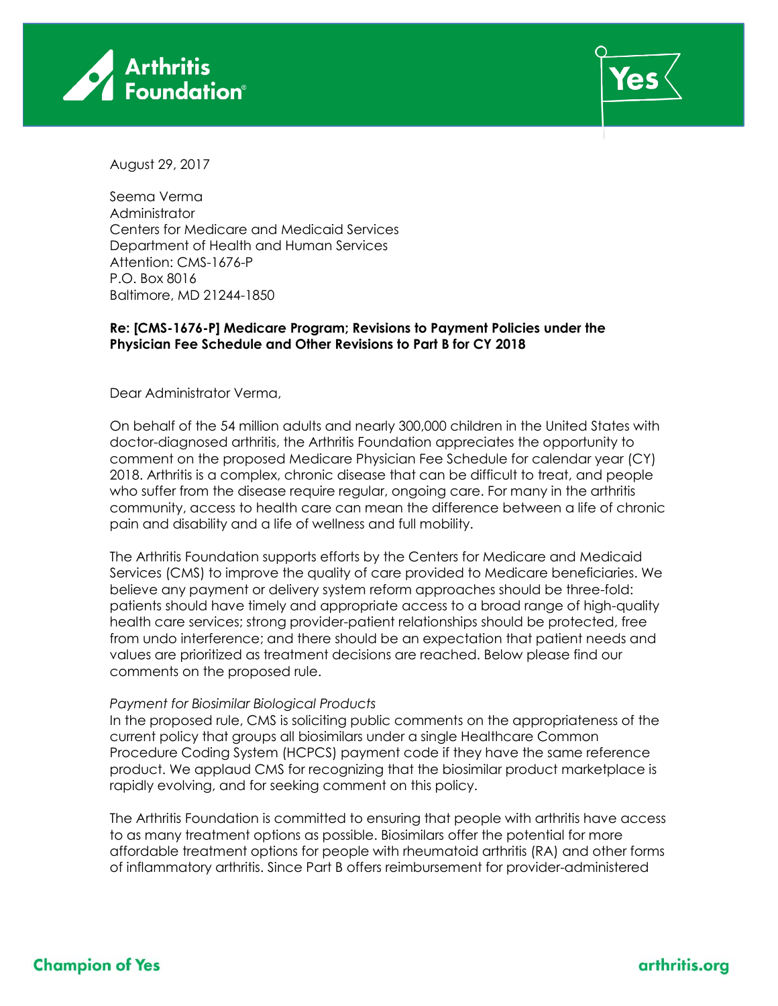



August 29, 2017

Seema Verma Administrator Centers for Medicare and Medicaid Services Department of Health and Human Services Attention: CMS-1676-P P.O. Box 8016 Baltimore, MD 21244-1850

### **Re: [CMS-1676-P] Medicare Program; Revisions to Payment Policies under the Physician Fee Schedule and Other Revisions to Part B for CY 2018**

Dear Administrator Verma,

On behalf of the 54 million adults and nearly 300,000 children in the United States with doctor-diagnosed arthritis, the Arthritis Foundation appreciates the opportunity to comment on the proposed Medicare Physician Fee Schedule for calendar year (CY) 2018. Arthritis is a complex, chronic disease that can be difficult to treat, and people who suffer from the disease require regular, ongoing care. For many in the arthritis community, access to health care can mean the difference between a life of chronic pain and disability and a life of wellness and full mobility.

The Arthritis Foundation supports efforts by the Centers for Medicare and Medicaid Services (CMS) to improve the quality of care provided to Medicare beneficiaries. We believe any payment or delivery system reform approaches should be three-fold: patients should have timely and appropriate access to a broad range of high-quality health care services; strong provider-patient relationships should be protected, free from undo interference; and there should be an expectation that patient needs and values are prioritized as treatment decisions are reached. Below please find our comments on the proposed rule.

#### *Payment for Biosimilar Biological Products*

In the proposed rule, CMS is soliciting public comments on the appropriateness of the current policy that groups all biosimilars under a single Healthcare Common Procedure Coding System (HCPCS) payment code if they have the same reference product. We applaud CMS for recognizing that the biosimilar product marketplace is rapidly evolving, and for seeking comment on this policy.

The Arthritis Foundation is committed to ensuring that people with arthritis have access to as many treatment options as possible. Biosimilars offer the potential for more affordable treatment options for people with rheumatoid arthritis (RA) and other forms of inflammatory arthritis. Since Part B offers reimbursement for provider-administered

# **Champion of Yes**

### arthritis.org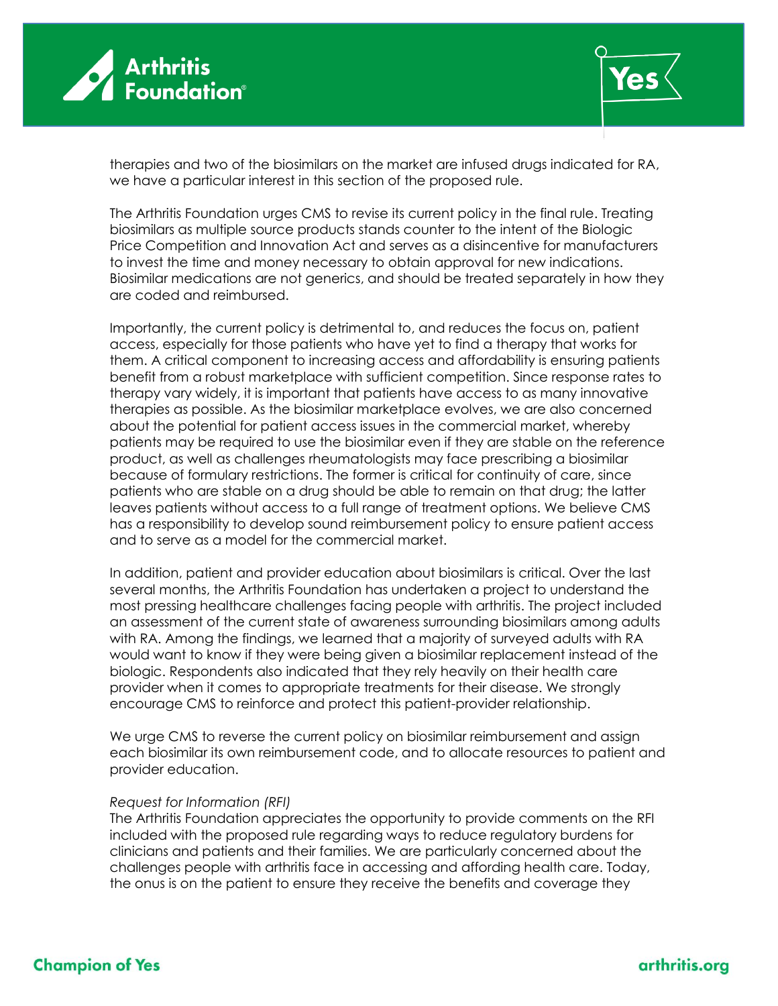



therapies and two of the biosimilars on the market are infused drugs indicated for RA, we have a particular interest in this section of the proposed rule.

The Arthritis Foundation urges CMS to revise its current policy in the final rule. Treating biosimilars as multiple source products stands counter to the intent of the Biologic Price Competition and Innovation Act and serves as a disincentive for manufacturers to invest the time and money necessary to obtain approval for new indications. Biosimilar medications are not generics, and should be treated separately in how they are coded and reimbursed.

Importantly, the current policy is detrimental to, and reduces the focus on, patient access, especially for those patients who have yet to find a therapy that works for them. A critical component to increasing access and affordability is ensuring patients benefit from a robust marketplace with sufficient competition. Since response rates to therapy vary widely, it is important that patients have access to as many innovative therapies as possible. As the biosimilar marketplace evolves, we are also concerned about the potential for patient access issues in the commercial market, whereby patients may be required to use the biosimilar even if they are stable on the reference product, as well as challenges rheumatologists may face prescribing a biosimilar because of formulary restrictions. The former is critical for continuity of care, since patients who are stable on a drug should be able to remain on that drug; the latter leaves patients without access to a full range of treatment options. We believe CMS has a responsibility to develop sound reimbursement policy to ensure patient access and to serve as a model for the commercial market.

In addition, patient and provider education about biosimilars is critical. Over the last several months, the Arthritis Foundation has undertaken a project to understand the most pressing healthcare challenges facing people with arthritis. The project included an assessment of the current state of awareness surrounding biosimilars among adults with RA. Among the findings, we learned that a majority of surveyed adults with RA would want to know if they were being given a biosimilar replacement instead of the biologic. Respondents also indicated that they rely heavily on their health care provider when it comes to appropriate treatments for their disease. We strongly encourage CMS to reinforce and protect this patient-provider relationship.

We urge CMS to reverse the current policy on biosimilar reimbursement and assign each biosimilar its own reimbursement code, and to allocate resources to patient and provider education.

#### *Request for Information (RFI)*

The Arthritis Foundation appreciates the opportunity to provide comments on the RFI included with the proposed rule regarding ways to reduce regulatory burdens for clinicians and patients and their families. We are particularly concerned about the challenges people with arthritis face in accessing and affording health care. Today, the onus is on the patient to ensure they receive the benefits and coverage they

## arthritis.org